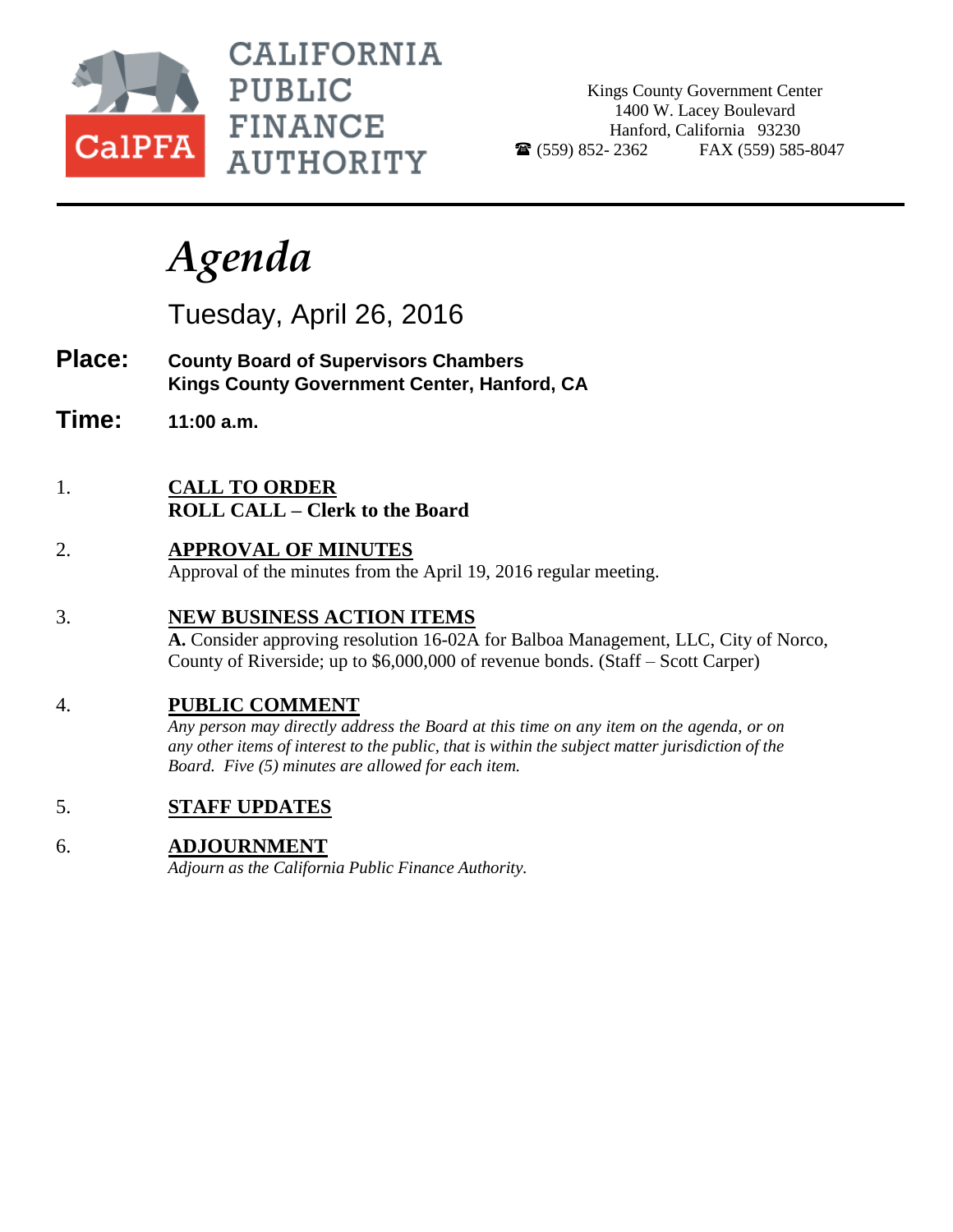

**CALIFORNIA PUBLIC FINANCE AUTHORITY** 

Kings County Government Center 1400 W. Lacey Boulevard Hanford, California 93230  $\bullet$  (559) 852-2362 FAX (559) 585-8047

# *Agenda*

Tuesday, April 26, 2016

- **Place: County Board of Supervisors Chambers Kings County Government Center, Hanford, CA**
- **Time: 11:00 a.m.**
- 1. **CALL TO ORDER ROLL CALL – Clerk to the Board**
- 2. **APPROVAL OF MINUTES** Approval of the minutes from the April 19, 2016 regular meeting.

## 3. **NEW BUSINESS ACTION ITEMS**

**A.** Consider approving resolution 16-02A for Balboa Management, LLC, City of Norco, County of Riverside; up to \$6,000,000 of revenue bonds. (Staff – Scott Carper)

### 4. **PUBLIC COMMENT**

*Any person may directly address the Board at this time on any item on the agenda, or on any other items of interest to the public, that is within the subject matter jurisdiction of the Board. Five (5) minutes are allowed for each item.*

5. **STAFF UPDATES**

## 6. **ADJOURNMENT**

*Adjourn as the California Public Finance Authority.*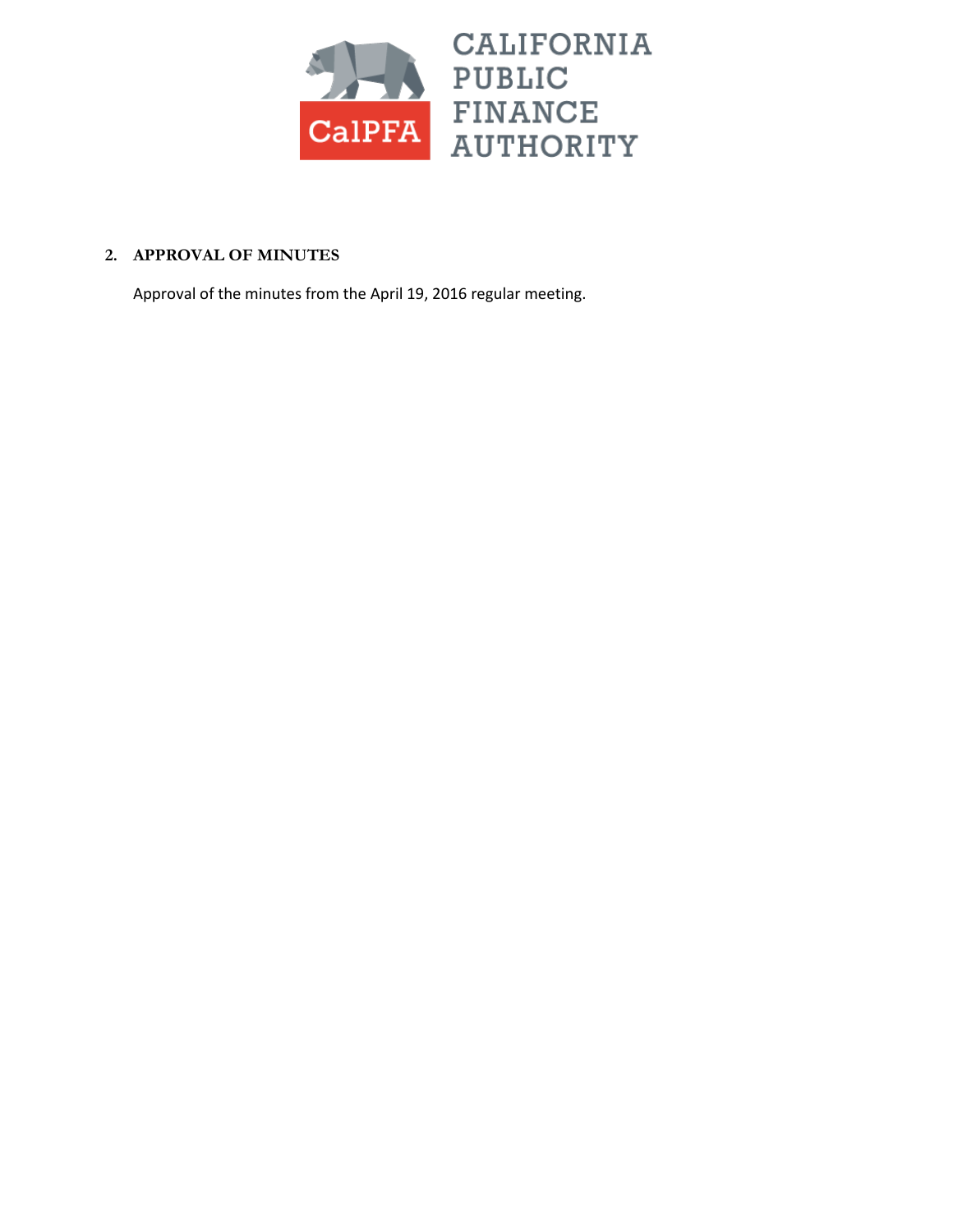

#### **2. APPROVAL OF MINUTES**

Approval of the minutes from the April 19, 2016 regular meeting.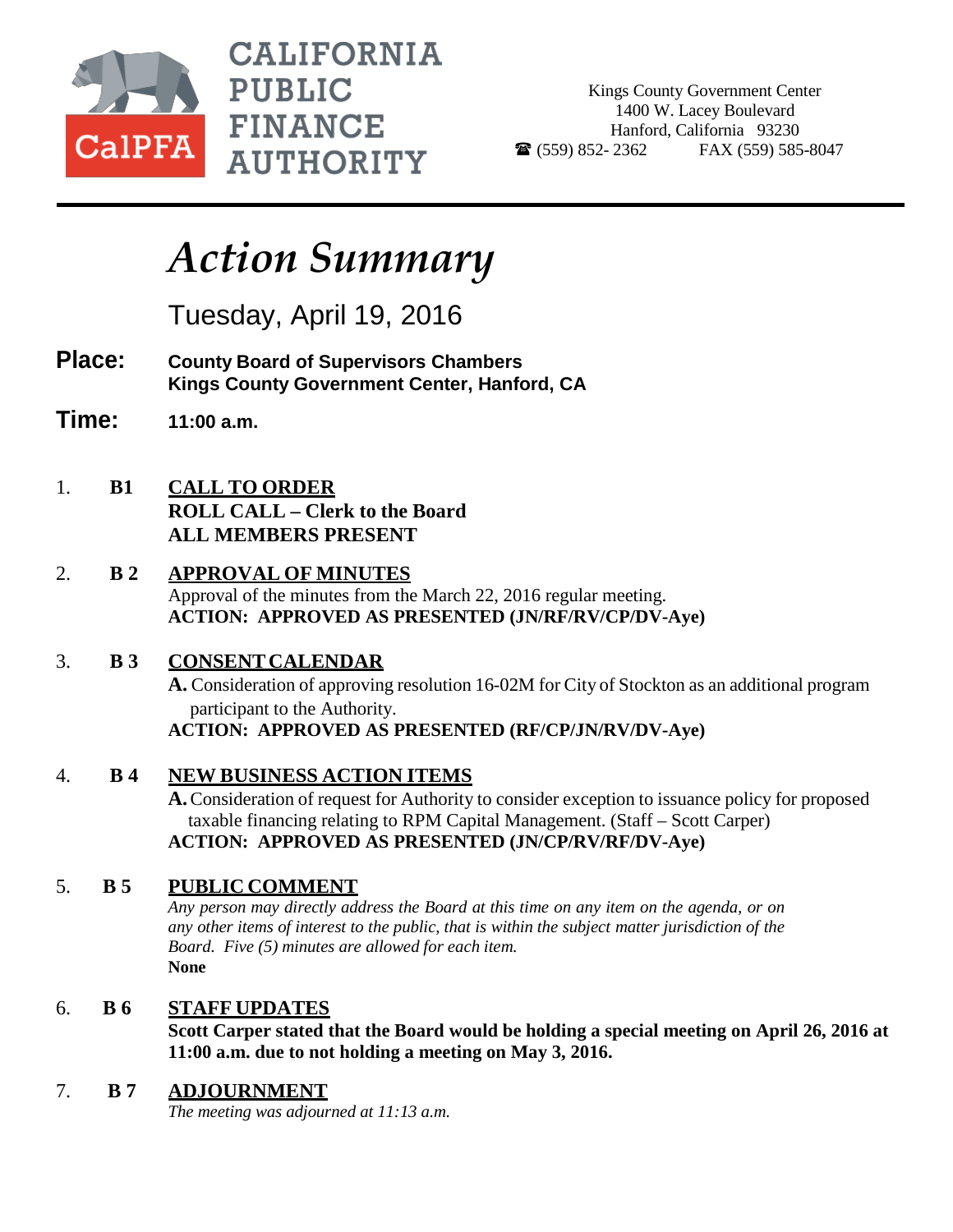

**CALIFORNIA PUBLIC FINANCE AUTHORITY** 

Kings County Government Center 1400 W. Lacey Boulevard Hanford, California 93230  $\bullet$  (559) 852-2362 FAX (559) 585-8047

## *Action Summary*

Tuesday, April 19, 2016

- **Place: County Board of Supervisors Chambers Kings County Government Center, Hanford, CA**
- **Time: 11:00 a.m.**
- 1. **B1 CALL TO ORDER ROLL CALL – Clerk to the Board ALL MEMBERS PRESENT**
- 2. **B 2 APPROVAL OF MINUTES** Approval of the minutes from the March 22, 2016 regular meeting. **ACTION: APPROVED AS PRESENTED (JN/RF/RV/CP/DV-Aye)**
- 3. **B 3 CONSENTCALENDAR**

**A.** Consideration of approving resolution 16-02M for City of Stockton as an additional program participant to the Authority. **ACTION: APPROVED AS PRESENTED (RF/CP/JN/RV/DV-Aye)**

4. **B 4 NEW BUSINESS ACTION ITEMS**

**A.**Consideration of request for Authority to consider exception to issuance policy for proposed taxable financing relating to RPM Capital Management. (Staff – Scott Carper) **ACTION: APPROVED AS PRESENTED (JN/CP/RV/RF/DV-Aye)**

## 5. **B 5 PUBLIC COMMENT**

*Any person may directly address the Board at this time on any item on the agenda, or on any other items of interest to the public, that is within the subject matter jurisdiction of the Board. Five (5) minutes are allowed for each item.* **None**

## 6. **B 6 STAFF UPDATES**

**Scott Carper stated that the Board would be holding a special meeting on April 26, 2016 at 11:00 a.m. due to not holding a meeting on May 3, 2016.**

## 7. **B 7 ADJOURNMENT**

*The meeting was adjourned at 11:13 a.m.*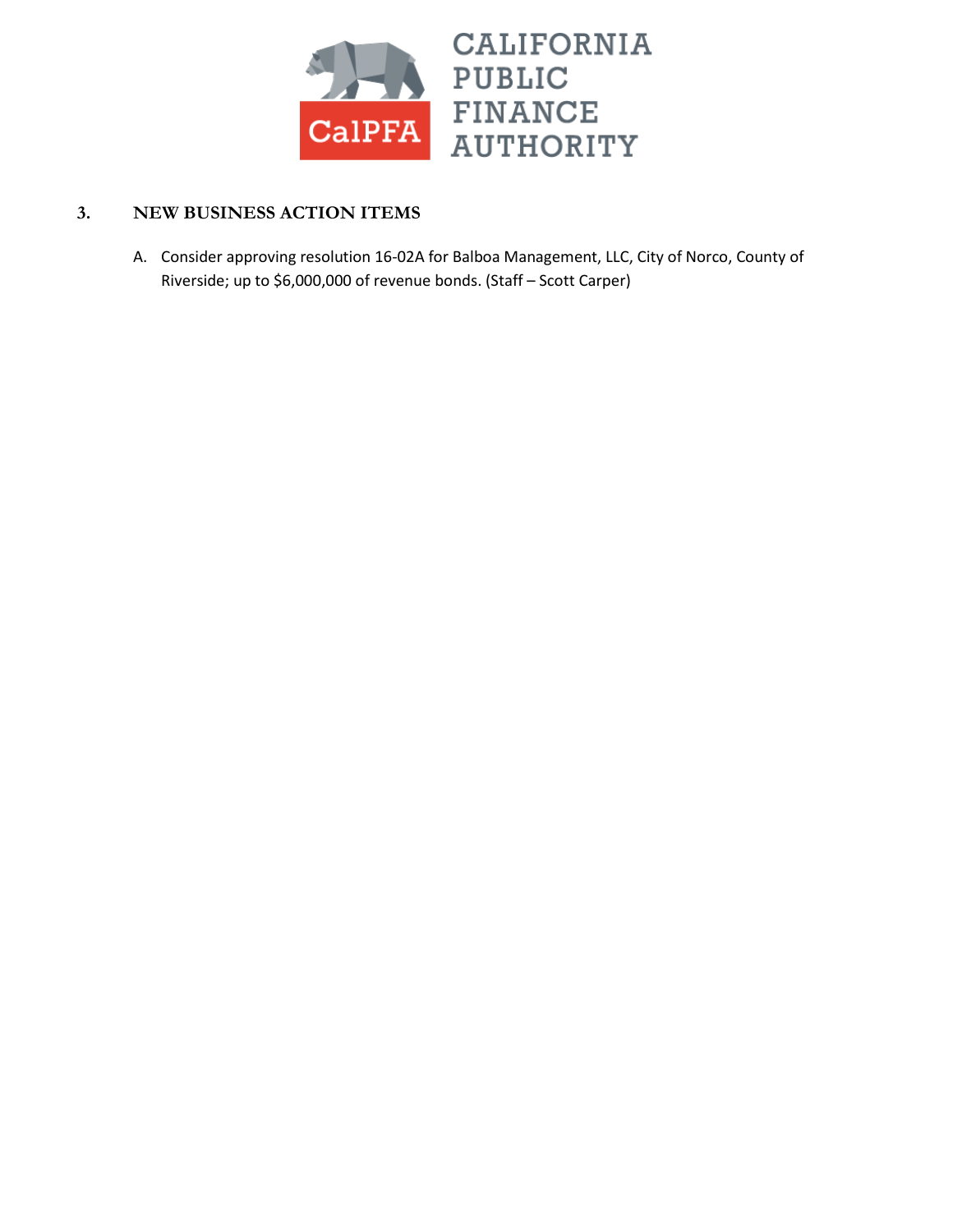

## **3. NEW BUSINESS ACTION ITEMS**

A. Consider approving resolution 16-02A for Balboa Management, LLC, City of Norco, County of Riverside; up to \$6,000,000 of revenue bonds. (Staff – Scott Carper)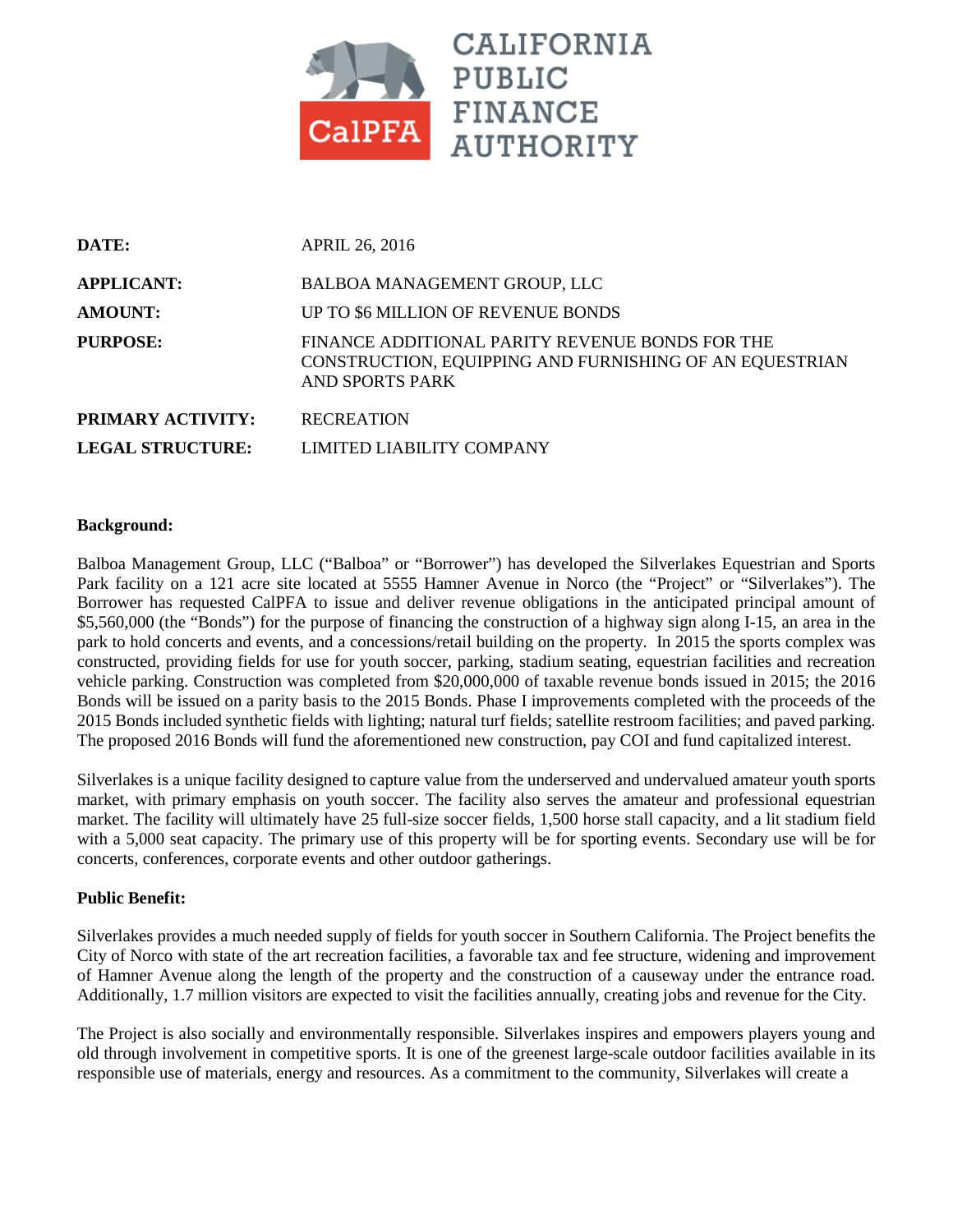

| DATE:                    | <b>APRIL 26, 2016</b>                                                                                                         |
|--------------------------|-------------------------------------------------------------------------------------------------------------------------------|
| <b>APPLICANT:</b>        | BALBOA MANAGEMENT GROUP, LLC                                                                                                  |
| <b>AMOUNT:</b>           | UP TO \$6 MILLION OF REVENUE BONDS                                                                                            |
| <b>PURPOSE:</b>          | FINANCE ADDITIONAL PARITY REVENUE BONDS FOR THE<br>CONSTRUCTION, EQUIPPING AND FURNISHING OF AN EQUESTRIAN<br>AND SPORTS PARK |
| <b>PRIMARY ACTIVITY:</b> | <b>RECREATION</b>                                                                                                             |
| <b>LEGAL STRUCTURE:</b>  | LIMITED LIABILITY COMPANY                                                                                                     |

#### **Background:**

Balboa Management Group, LLC ("Balboa" or "Borrower") has developed the Silverlakes Equestrian and Sports Park facility on a 121 acre site located at 5555 Hamner Avenue in Norco (the "Project" or "Silverlakes"). The Borrower has requested CalPFA to issue and deliver revenue obligations in the anticipated principal amount of \$5,560,000 (the "Bonds") for the purpose of financing the construction of a highway sign along I-15, an area in the park to hold concerts and events, and a concessions/retail building on the property. In 2015 the sports complex was constructed, providing fields for use for youth soccer, parking, stadium seating, equestrian facilities and recreation vehicle parking. Construction was completed from \$20,000,000 of taxable revenue bonds issued in 2015; the 2016 Bonds will be issued on a parity basis to the 2015 Bonds. Phase I improvements completed with the proceeds of the 2015 Bonds included synthetic fields with lighting; natural turf fields; satellite restroom facilities; and paved parking. The proposed 2016 Bonds will fund the aforementioned new construction, pay COI and fund capitalized interest.

Silverlakes is a unique facility designed to capture value from the underserved and undervalued amateur youth sports market, with primary emphasis on youth soccer. The facility also serves the amateur and professional equestrian market. The facility will ultimately have 25 full-size soccer fields, 1,500 horse stall capacity, and a lit stadium field with a 5,000 seat capacity. The primary use of this property will be for sporting events. Secondary use will be for concerts, conferences, corporate events and other outdoor gatherings.

#### **Public Benefit:**

Silverlakes provides a much needed supply of fields for youth soccer in Southern California. The Project benefits the City of Norco with state of the art recreation facilities, a favorable tax and fee structure, widening and improvement of Hamner Avenue along the length of the property and the construction of a causeway under the entrance road. Additionally, 1.7 million visitors are expected to visit the facilities annually, creating jobs and revenue for the City.

The Project is also socially and environmentally responsible. Silverlakes inspires and empowers players young and old through involvement in competitive sports. It is one of the greenest large-scale outdoor facilities available in its responsible use of materials, energy and resources. As a commitment to the community, Silverlakes will create a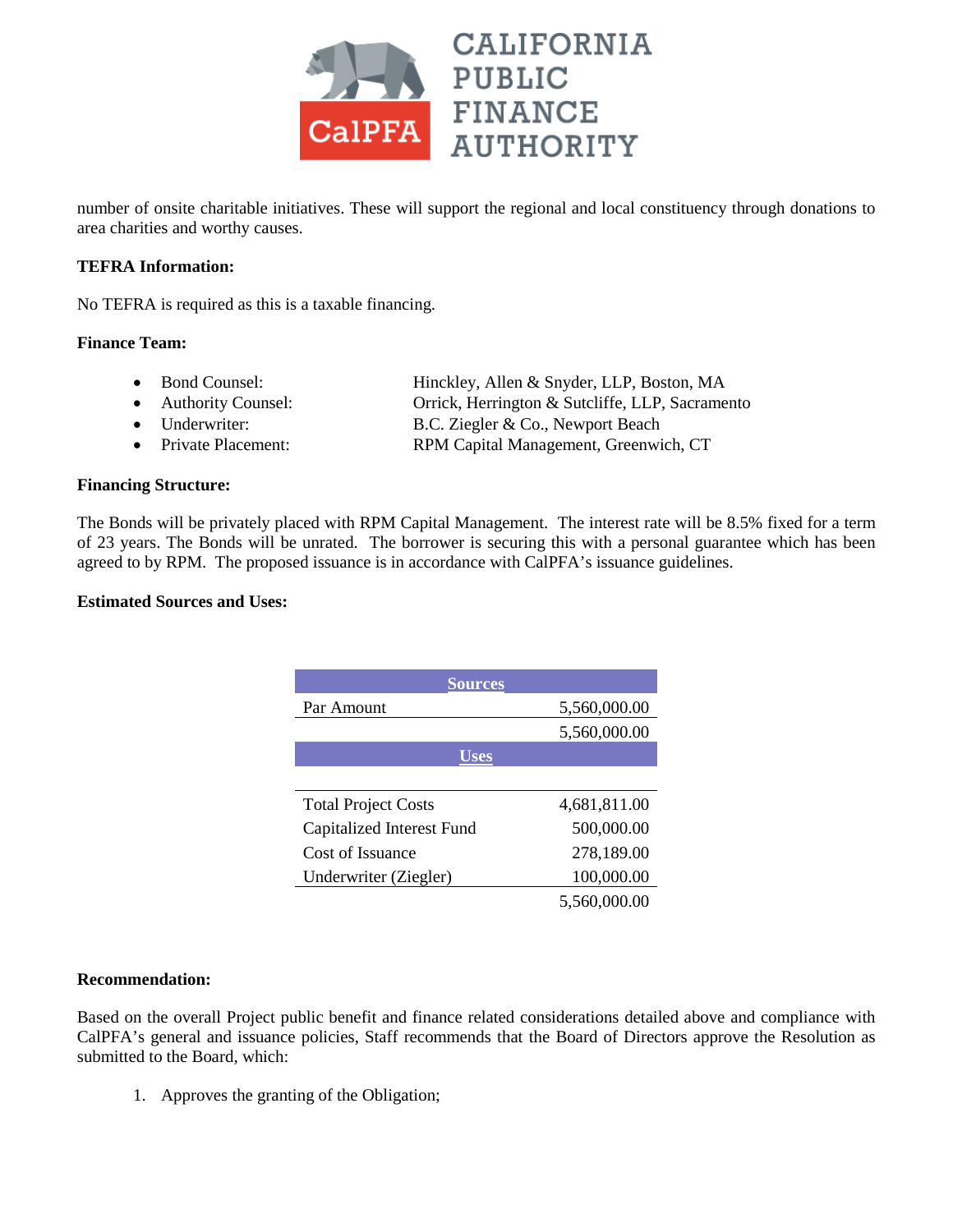

number of onsite charitable initiatives. These will support the regional and local constituency through donations to area charities and worthy causes.

#### **TEFRA Information:**

No TEFRA is required as this is a taxable financing.

#### **Finance Team:**

- Bond Counsel: Hinckley, Allen & Snyder, LLP, Boston, MA
- Authority Counsel: Orrick, Herrington & Sutcliffe, LLP, Sacramento
- Underwriter: B.C. Ziegler & Co., Newport Beach
- Private Placement: RPM Capital Management, Greenwich, CT

#### **Financing Structure:**

The Bonds will be privately placed with RPM Capital Management. The interest rate will be 8.5% fixed for a term of 23 years. The Bonds will be unrated. The borrower is securing this with a personal guarantee which has been agreed to by RPM. The proposed issuance is in accordance with CalPFA's issuance guidelines.

#### **Estimated Sources and Uses:**

| <b>Sources</b>             |              |  |  |
|----------------------------|--------------|--|--|
| Par Amount                 | 5,560,000.00 |  |  |
|                            | 5,560,000.00 |  |  |
| Uses                       |              |  |  |
|                            |              |  |  |
| <b>Total Project Costs</b> | 4,681,811.00 |  |  |
| Capitalized Interest Fund  | 500,000.00   |  |  |
| Cost of Issuance           | 278,189.00   |  |  |
| Underwriter (Ziegler)      | 100,000.00   |  |  |
|                            | 5,560,000.00 |  |  |

#### **Recommendation:**

Based on the overall Project public benefit and finance related considerations detailed above and compliance with CalPFA's general and issuance policies, Staff recommends that the Board of Directors approve the Resolution as submitted to the Board, which:

1. Approves the granting of the Obligation;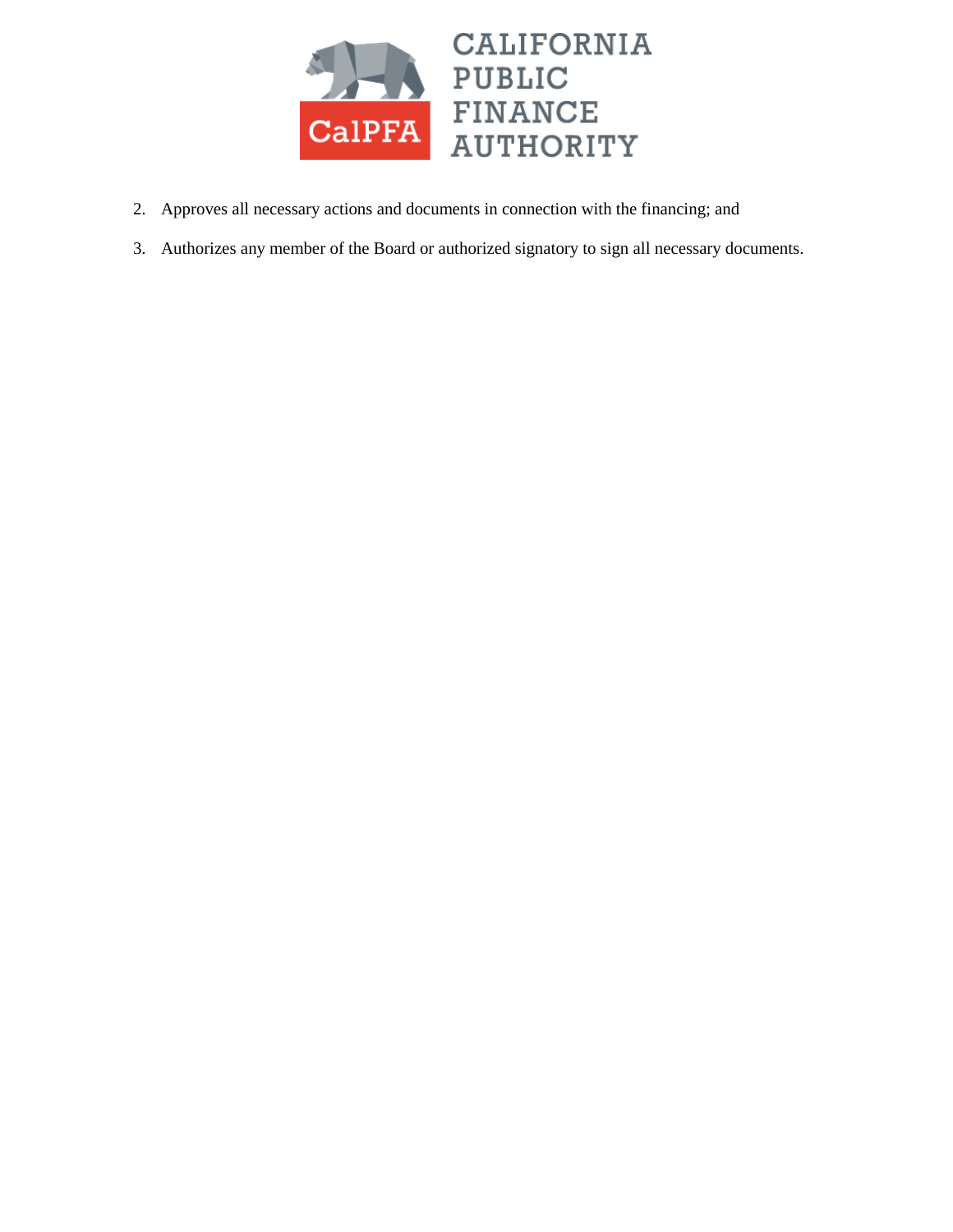

- 2. Approves all necessary actions and documents in connection with the financing; and
- 3. Authorizes any member of the Board or authorized signatory to sign all necessary documents.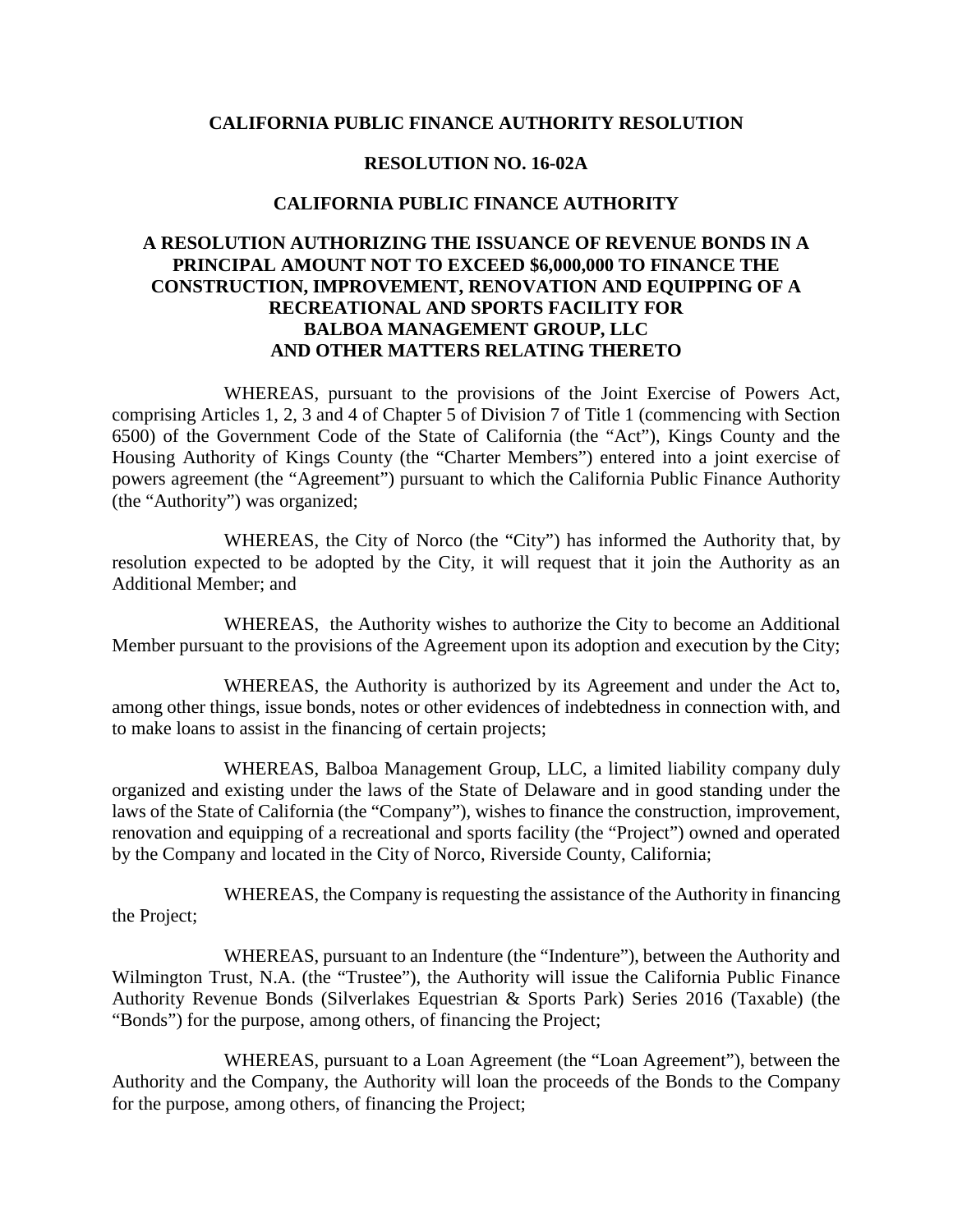#### **CALIFORNIA PUBLIC FINANCE AUTHORITY RESOLUTION**

#### **RESOLUTION NO. 16-02A**

#### **CALIFORNIA PUBLIC FINANCE AUTHORITY**

#### **A RESOLUTION AUTHORIZING THE ISSUANCE OF REVENUE BONDS IN A PRINCIPAL AMOUNT NOT TO EXCEED \$6,000,000 TO FINANCE THE CONSTRUCTION, IMPROVEMENT, RENOVATION AND EQUIPPING OF A RECREATIONAL AND SPORTS FACILITY FOR BALBOA MANAGEMENT GROUP, LLC AND OTHER MATTERS RELATING THERETO**

WHEREAS, pursuant to the provisions of the Joint Exercise of Powers Act, comprising Articles 1, 2, 3 and 4 of Chapter 5 of Division 7 of Title 1 (commencing with Section 6500) of the Government Code of the State of California (the "Act"), Kings County and the Housing Authority of Kings County (the "Charter Members") entered into a joint exercise of powers agreement (the "Agreement") pursuant to which the California Public Finance Authority (the "Authority") was organized;

WHEREAS, the City of Norco (the "City") has informed the Authority that, by resolution expected to be adopted by the City, it will request that it join the Authority as an Additional Member; and

WHEREAS, the Authority wishes to authorize the City to become an Additional Member pursuant to the provisions of the Agreement upon its adoption and execution by the City;

WHEREAS, the Authority is authorized by its Agreement and under the Act to, among other things, issue bonds, notes or other evidences of indebtedness in connection with, and to make loans to assist in the financing of certain projects;

WHEREAS, Balboa Management Group, LLC, a limited liability company duly organized and existing under the laws of the State of Delaware and in good standing under the laws of the State of California (the "Company"), wishes to finance the construction, improvement, renovation and equipping of a recreational and sports facility (the "Project") owned and operated by the Company and located in the City of Norco, Riverside County, California;

WHEREAS, the Company is requesting the assistance of the Authority in financing the Project;

WHEREAS, pursuant to an Indenture (the "Indenture"), between the Authority and Wilmington Trust, N.A. (the "Trustee"), the Authority will issue the California Public Finance Authority Revenue Bonds (Silverlakes Equestrian & Sports Park) Series 2016 (Taxable) (the "Bonds") for the purpose, among others, of financing the Project;

WHEREAS, pursuant to a Loan Agreement (the "Loan Agreement"), between the Authority and the Company, the Authority will loan the proceeds of the Bonds to the Company for the purpose, among others, of financing the Project;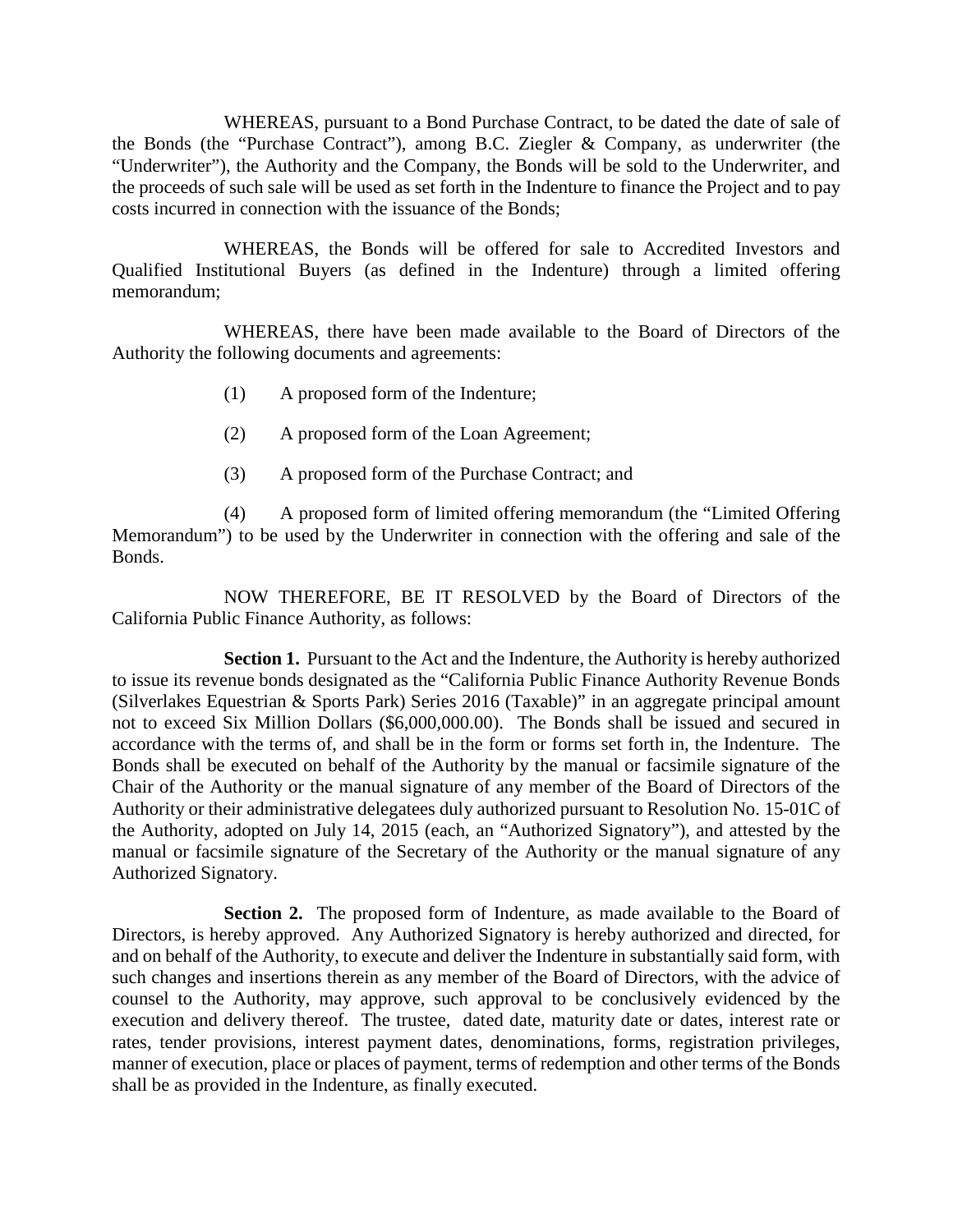WHEREAS, pursuant to a Bond Purchase Contract, to be dated the date of sale of the Bonds (the "Purchase Contract"), among B.C. Ziegler & Company, as underwriter (the "Underwriter"), the Authority and the Company, the Bonds will be sold to the Underwriter, and the proceeds of such sale will be used as set forth in the Indenture to finance the Project and to pay costs incurred in connection with the issuance of the Bonds;

WHEREAS, the Bonds will be offered for sale to Accredited Investors and Qualified Institutional Buyers (as defined in the Indenture) through a limited offering memorandum;

WHEREAS, there have been made available to the Board of Directors of the Authority the following documents and agreements:

- (1) A proposed form of the Indenture;
- (2) A proposed form of the Loan Agreement;
- (3) A proposed form of the Purchase Contract; and

(4) A proposed form of limited offering memorandum (the "Limited Offering Memorandum") to be used by the Underwriter in connection with the offering and sale of the Bonds.

NOW THEREFORE, BE IT RESOLVED by the Board of Directors of the California Public Finance Authority, as follows:

**Section 1.** Pursuant to the Act and the Indenture, the Authority is hereby authorized to issue its revenue bonds designated as the "California Public Finance Authority Revenue Bonds (Silverlakes Equestrian & Sports Park) Series 2016 (Taxable)" in an aggregate principal amount not to exceed Six Million Dollars (\$6,000,000.00). The Bonds shall be issued and secured in accordance with the terms of, and shall be in the form or forms set forth in, the Indenture. The Bonds shall be executed on behalf of the Authority by the manual or facsimile signature of the Chair of the Authority or the manual signature of any member of the Board of Directors of the Authority or their administrative delegatees duly authorized pursuant to Resolution No. 15-01C of the Authority, adopted on July 14, 2015 (each, an "Authorized Signatory"), and attested by the manual or facsimile signature of the Secretary of the Authority or the manual signature of any Authorized Signatory.

**Section 2.** The proposed form of Indenture, as made available to the Board of Directors, is hereby approved. Any Authorized Signatory is hereby authorized and directed, for and on behalf of the Authority, to execute and deliver the Indenture in substantially said form, with such changes and insertions therein as any member of the Board of Directors, with the advice of counsel to the Authority, may approve, such approval to be conclusively evidenced by the execution and delivery thereof. The trustee, dated date, maturity date or dates, interest rate or rates, tender provisions, interest payment dates, denominations, forms, registration privileges, manner of execution, place or places of payment, terms of redemption and other terms of the Bonds shall be as provided in the Indenture, as finally executed.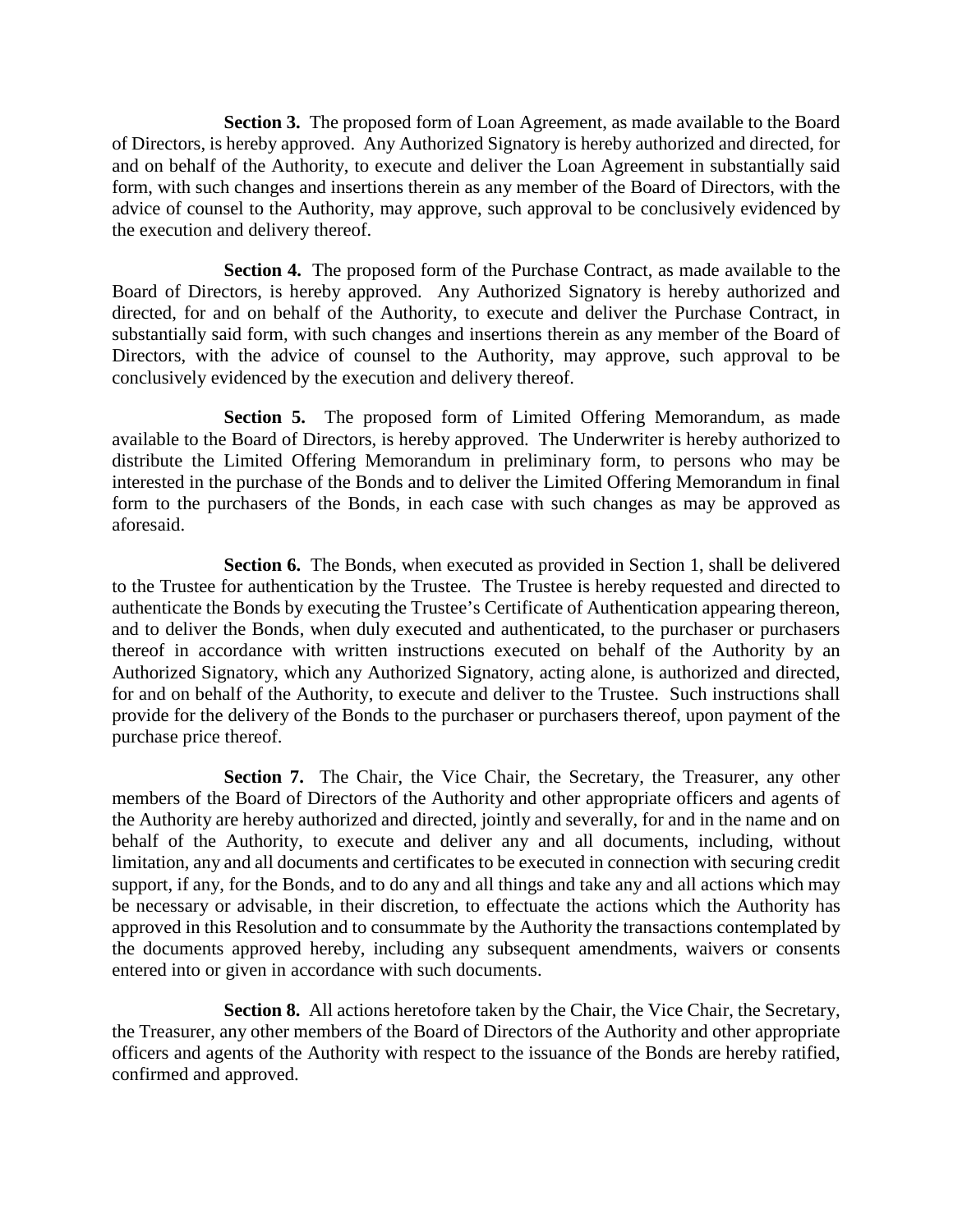**Section 3.** The proposed form of Loan Agreement, as made available to the Board of Directors, is hereby approved. Any Authorized Signatory is hereby authorized and directed, for and on behalf of the Authority, to execute and deliver the Loan Agreement in substantially said form, with such changes and insertions therein as any member of the Board of Directors, with the advice of counsel to the Authority, may approve, such approval to be conclusively evidenced by the execution and delivery thereof.

**Section 4.** The proposed form of the Purchase Contract, as made available to the Board of Directors, is hereby approved. Any Authorized Signatory is hereby authorized and directed, for and on behalf of the Authority, to execute and deliver the Purchase Contract, in substantially said form, with such changes and insertions therein as any member of the Board of Directors, with the advice of counsel to the Authority, may approve, such approval to be conclusively evidenced by the execution and delivery thereof.

**Section 5.** The proposed form of Limited Offering Memorandum, as made available to the Board of Directors, is hereby approved. The Underwriter is hereby authorized to distribute the Limited Offering Memorandum in preliminary form, to persons who may be interested in the purchase of the Bonds and to deliver the Limited Offering Memorandum in final form to the purchasers of the Bonds, in each case with such changes as may be approved as aforesaid.

**Section 6.** The Bonds, when executed as provided in Section 1, shall be delivered to the Trustee for authentication by the Trustee. The Trustee is hereby requested and directed to authenticate the Bonds by executing the Trustee's Certificate of Authentication appearing thereon, and to deliver the Bonds, when duly executed and authenticated, to the purchaser or purchasers thereof in accordance with written instructions executed on behalf of the Authority by an Authorized Signatory, which any Authorized Signatory, acting alone, is authorized and directed, for and on behalf of the Authority, to execute and deliver to the Trustee. Such instructions shall provide for the delivery of the Bonds to the purchaser or purchasers thereof, upon payment of the purchase price thereof.

**Section 7.** The Chair, the Vice Chair, the Secretary, the Treasurer, any other members of the Board of Directors of the Authority and other appropriate officers and agents of the Authority are hereby authorized and directed, jointly and severally, for and in the name and on behalf of the Authority, to execute and deliver any and all documents, including, without limitation, any and all documents and certificates to be executed in connection with securing credit support, if any, for the Bonds, and to do any and all things and take any and all actions which may be necessary or advisable, in their discretion, to effectuate the actions which the Authority has approved in this Resolution and to consummate by the Authority the transactions contemplated by the documents approved hereby, including any subsequent amendments, waivers or consents entered into or given in accordance with such documents.

**Section 8.** All actions heretofore taken by the Chair, the Vice Chair, the Secretary, the Treasurer, any other members of the Board of Directors of the Authority and other appropriate officers and agents of the Authority with respect to the issuance of the Bonds are hereby ratified, confirmed and approved.